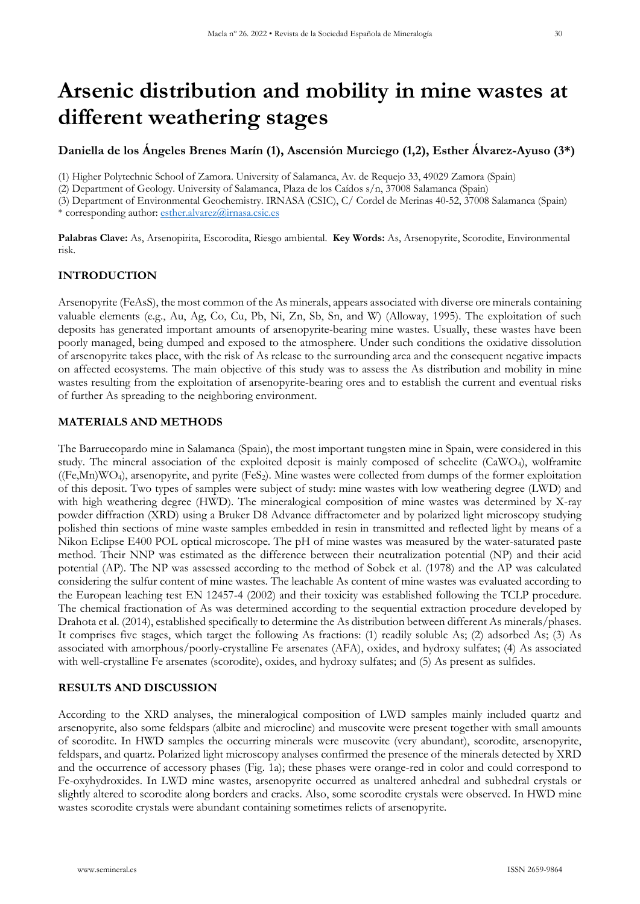# **Arsenic distribution and mobility in mine wastes at different weathering stages**

## **Daniella de los Ángeles Brenes Marín (1), Ascensión Murciego (1,2), Esther Álvarez-Ayuso (3\*)**

(1) Higher Polytechnic School of Zamora. University of Salamanca, Av. de Requejo 33, 49029 Zamora (Spain)

(2) Department of Geology. University of Salamanca, Plaza de los Caídos s/n, 37008 Salamanca (Spain)

(3) Department of Environmental Geochemistry. IRNASA (CSIC), C/ Cordel de Merinas 40-52, 37008 Salamanca (Spain) \* corresponding author: [esther.alvarez@irnasa.csic.es](mailto:esther.alvarez@irnasa.csic.es)

**Palabras Clave:** As, Arsenopirita, Escorodita, Riesgo ambiental. **Key Words:** As, Arsenopyrite, Scorodite, Environmental risk.

## **INTRODUCTION**

Arsenopyrite (FeAsS), the most common of the As minerals, appears associated with diverse ore minerals containing valuable elements (e.g., Au, Ag, Co, Cu, Pb, Ni, Zn, Sb, Sn, and W) (Alloway, 1995). The exploitation of such deposits has generated important amounts of arsenopyrite-bearing mine wastes. Usually, these wastes have been poorly managed, being dumped and exposed to the atmosphere. Under such conditions the oxidative dissolution of arsenopyrite takes place, with the risk of As release to the surrounding area and the consequent negative impacts on affected ecosystems. The main objective of this study was to assess the As distribution and mobility in mine wastes resulting from the exploitation of arsenopyrite-bearing ores and to establish the current and eventual risks of further As spreading to the neighboring environment.

### **MATERIALS AND METHODS**

The Barruecopardo mine in Salamanca (Spain), the most important tungsten mine in Spain, were considered in this study. The mineral association of the exploited deposit is mainly composed of scheelite (CaWO4), wolframite  $((Fe, Mn)WO<sub>4</sub>)$ , arsenopyrite, and pyrite  $(FeS<sub>2</sub>)$ . Mine wastes were collected from dumps of the former exploitation of this deposit. Two types of samples were subject of study: mine wastes with low weathering degree (LWD) and with high weathering degree (HWD). The mineralogical composition of mine wastes was determined by X-ray powder diffraction (XRD) using a Bruker D8 Advance diffractometer and by polarized light microscopy studying polished thin sections of mine waste samples embedded in resin in transmitted and reflected light by means of a Nikon Eclipse E400 POL optical microscope. The pH of mine wastes was measured by the water-saturated paste method. Their NNP was estimated as the difference between their neutralization potential (NP) and their acid potential (AP). The NP was assessed according to the method of Sobek et al. (1978) and the AP was calculated considering the sulfur content of mine wastes. The leachable As content of mine wastes was evaluated according to the European leaching test EN 12457-4 (2002) and their toxicity was established following the TCLP procedure. The chemical fractionation of As was determined according to the sequential extraction procedure developed by Drahota et al. (2014), established specifically to determine the As distribution between different As minerals/phases. It comprises five stages, which target the following As fractions: (1) readily soluble As; (2) adsorbed As; (3) As associated with amorphous/poorly-crystalline Fe arsenates (AFA), oxides, and hydroxy sulfates; (4) As associated with well-crystalline Fe arsenates (scorodite), oxides, and hydroxy sulfates; and (5) As present as sulfides.

### **RESULTS AND DISCUSSION**

According to the XRD analyses, the mineralogical composition of LWD samples mainly included quartz and arsenopyrite, also some feldspars (albite and microcline) and muscovite were present together with small amounts of scorodite. In HWD samples the occurring minerals were muscovite (very abundant), scorodite, arsenopyrite, feldspars, and quartz. Polarized light microscopy analyses confirmed the presence of the minerals detected by XRD and the occurrence of accessory phases (Fig. 1a); these phases were orange-red in color and could correspond to Fe-oxyhydroxides. In LWD mine wastes, arsenopyrite occurred as unaltered anhedral and subhedral crystals or slightly altered to scorodite along borders and cracks. Also, some scorodite crystals were observed. In HWD mine wastes scorodite crystals were abundant containing sometimes relicts of arsenopyrite.